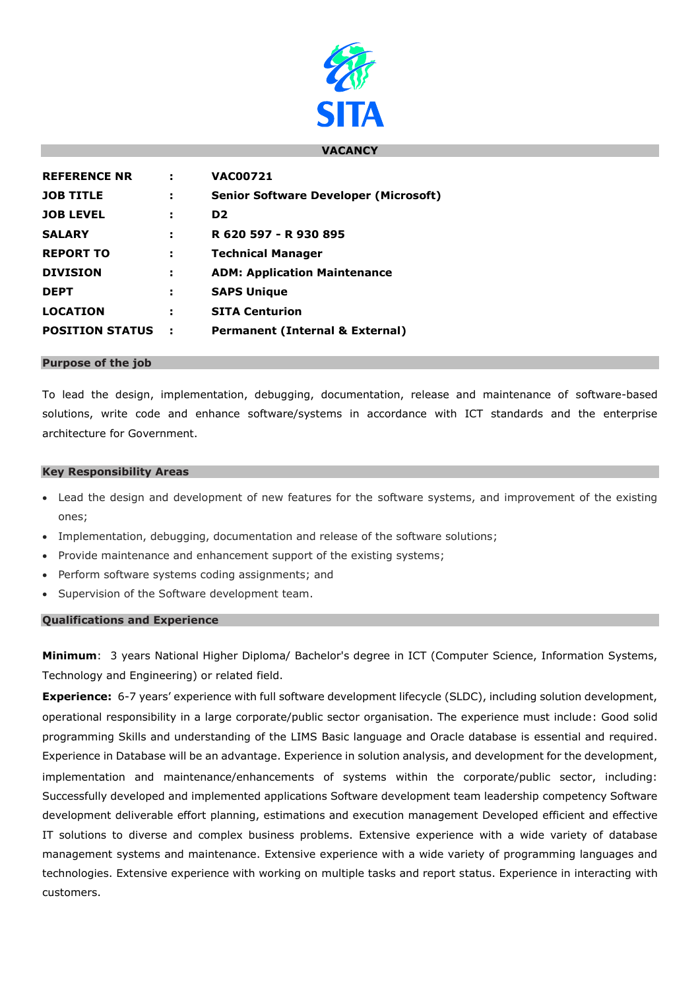

### **VACANCY**

| <b>REFERENCE NR</b>    |     | <b>VAC00721</b>                              |
|------------------------|-----|----------------------------------------------|
| <b>JOB TITLE</b>       | н   | <b>Senior Software Developer (Microsoft)</b> |
| <b>JOB LEVEL</b>       | ÷   | D <sub>2</sub>                               |
| <b>SALARY</b>          | ÷   | R 620 597 - R 930 895                        |
| <b>REPORT TO</b>       | н   | <b>Technical Manager</b>                     |
| <b>DIVISION</b>        | н   | <b>ADM: Application Maintenance</b>          |
| <b>DEPT</b>            | н   | <b>SAPS Unique</b>                           |
| <b>LOCATION</b>        | н   | <b>SITA Centurion</b>                        |
| <b>POSITION STATUS</b> | - 1 | <b>Permanent (Internal &amp; External)</b>   |
|                        |     |                                              |

### **Purpose of the job**

To lead the design, implementation, debugging, documentation, release and maintenance of software-based solutions, write code and enhance software/systems in accordance with ICT standards and the enterprise architecture for Government.

### **Key Responsibility Areas**

- Lead the design and development of new features for the software systems, and improvement of the existing ones;
- Implementation, debugging, documentation and release of the software solutions;
- Provide maintenance and enhancement support of the existing systems;
- Perform software systems coding assignments; and
- Supervision of the Software development team.

# **Qualifications and Experience**

**Minimum**: 3 years National Higher Diploma/ Bachelor's degree in ICT (Computer Science, Information Systems, Technology and Engineering) or related field.

**Experience:** 6-7 years' experience with full software development lifecycle (SLDC), including solution development, operational responsibility in a large corporate/public sector organisation. The experience must include: Good solid programming Skills and understanding of the LIMS Basic language and Oracle database is essential and required. Experience in Database will be an advantage. Experience in solution analysis, and development for the development, implementation and maintenance/enhancements of systems within the corporate/public sector, including: Successfully developed and implemented applications Software development team leadership competency Software development deliverable effort planning, estimations and execution management Developed efficient and effective IT solutions to diverse and complex business problems. Extensive experience with a wide variety of database management systems and maintenance. Extensive experience with a wide variety of programming languages and technologies. Extensive experience with working on multiple tasks and report status. Experience in interacting with customers.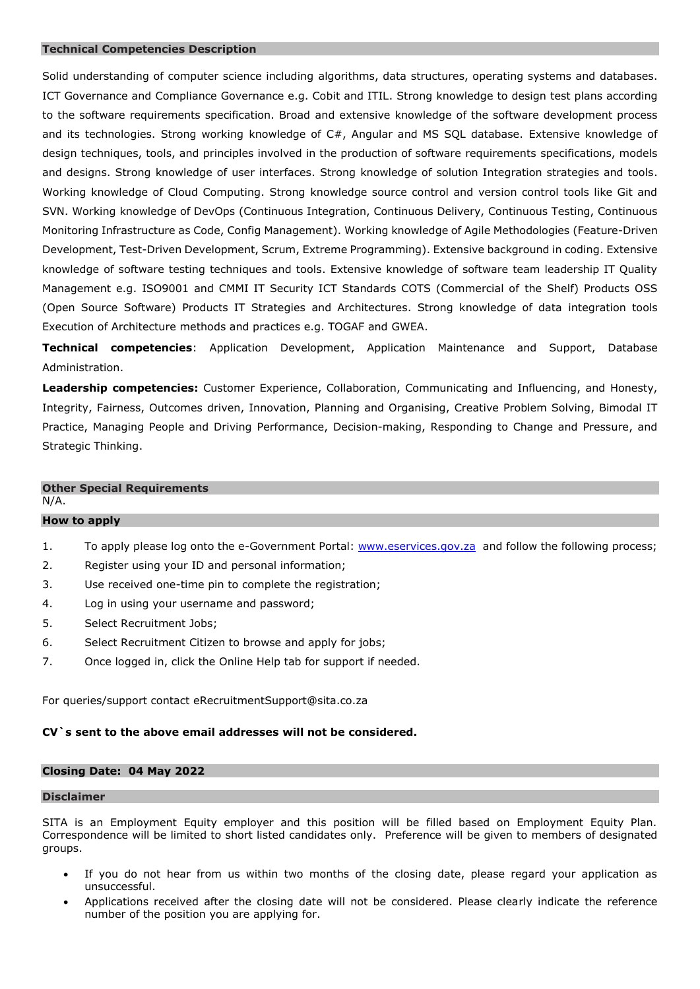#### **Technical Competencies Description**

Solid understanding of computer science including algorithms, data structures, operating systems and databases. ICT Governance and Compliance Governance e.g. Cobit and ITIL. Strong knowledge to design test plans according to the software requirements specification. Broad and extensive knowledge of the software development process and its technologies. Strong working knowledge of C#, Angular and MS SQL database. Extensive knowledge of design techniques, tools, and principles involved in the production of software requirements specifications, models and designs. Strong knowledge of user interfaces. Strong knowledge of solution Integration strategies and tools. Working knowledge of Cloud Computing. Strong knowledge source control and version control tools like Git and SVN. Working knowledge of DevOps (Continuous Integration, Continuous Delivery, Continuous Testing, Continuous Monitoring Infrastructure as Code, Config Management). Working knowledge of Agile Methodologies (Feature-Driven Development, Test-Driven Development, Scrum, Extreme Programming). Extensive background in coding. Extensive knowledge of software testing techniques and tools. Extensive knowledge of software team leadership IT Quality Management e.g. ISO9001 and CMMI IT Security ICT Standards COTS (Commercial of the Shelf) Products OSS (Open Source Software) Products IT Strategies and Architectures. Strong knowledge of data integration tools Execution of Architecture methods and practices e.g. TOGAF and GWEA.

**Technical competencies**: Application Development, Application Maintenance and Support, Database Administration.

**Leadership competencies:** Customer Experience, Collaboration, Communicating and Influencing, and Honesty, Integrity, Fairness, Outcomes driven, Innovation, Planning and Organising, Creative Problem Solving, Bimodal IT Practice, Managing People and Driving Performance, Decision-making, Responding to Change and Pressure, and Strategic Thinking.

#### **Other Special Requirements**

N/A.

# **How to apply**

- 1. To apply please log onto the e-Government Portal: [www.eservices.gov.za](http://www.eservices.gov.za/) and follow the following process;
- 2. Register using your ID and personal information;
- 3. Use received one-time pin to complete the registration;
- 4. Log in using your username and password;
- 5. Select Recruitment Jobs;
- 6. Select Recruitment Citizen to browse and apply for jobs;
- 7. Once logged in, click the Online Help tab for support if needed.

For queries/support contact eRecruitmentSupport@sita.co.za

# **CV`s sent to the above email addresses will not be considered.**

# **Closing Date: 04 May 2022**

# **Disclaimer**

SITA is an Employment Equity employer and this position will be filled based on Employment Equity Plan. Correspondence will be limited to short listed candidates only. Preference will be given to members of designated groups.

- If you do not hear from us within two months of the closing date, please regard your application as unsuccessful.
- Applications received after the closing date will not be considered. Please clearly indicate the reference number of the position you are applying for.